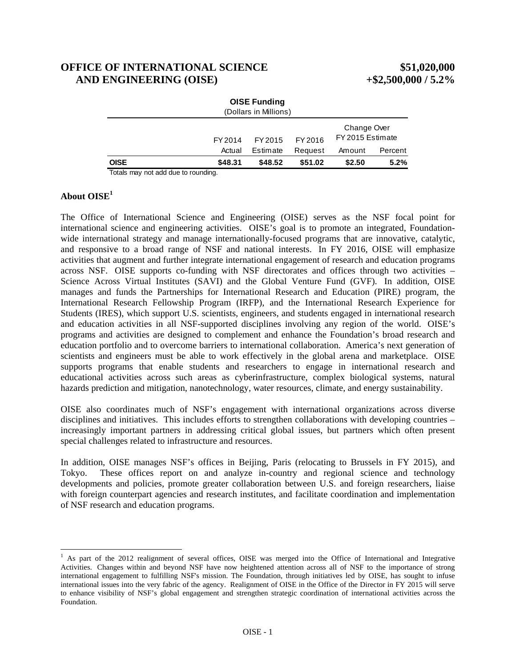# **OFFICE OF INTERNATIONAL SCIENCE \$51,020,000 AND ENGINEERING (OISE) +\$2,500,000 / 5.2%**

|             |         | <b>OISE Funding</b><br>(Dollars in Millions) |         |                                 |         |
|-------------|---------|----------------------------------------------|---------|---------------------------------|---------|
|             | FY 2014 | FY 2015                                      | FY 2016 | Change Over<br>FY 2015 Estimate |         |
|             | Actual  | Estimate                                     | Request | Amount                          | Percent |
| <b>OISE</b> | \$48.31 | \$48.52                                      | \$51.02 | \$2.50                          | 5.2%    |
| .           |         |                                              |         |                                 |         |

Totals may not add due to rounding.

#### **About OISE<sup>1</sup>**

hazards prediction and mitigation, nanotechnology, water resources, climate, and energy sustainability. The Office of International Science and Engineering (OISE) serves as the NSF focal point for international science and engineering activities. OISE's goal is to promote an integrated, Foundationwide international strategy and manage internationally-focused programs that are innovative, catalytic, and responsive to a broad range of NSF and national interests. In FY 2016, OISE will emphasize activities that augment and further integrate international engagement of research and education programs across NSF. OISE supports co-funding with NSF directorates and offices through two activities – Science Across Virtual Institutes (SAVI) and the Global Venture Fund (GVF). In addition, OISE manages and funds the Partnerships for International Research and Education (PIRE) program, the International Research Fellowship Program (IRFP), and the International Research Experience for Students (IRES), which support U.S. scientists, engineers, and students engaged in international research and education activities in all NSF-supported disciplines involving any region of the world. OISE's programs and activities are designed to complement and enhance the Foundation's broad research and education portfolio and to overcome barriers to international collaboration. America's next generation of scientists and engineers must be able to work effectively in the global arena and marketplace. OISE supports programs that enable students and researchers to engage in international research and educational activities across such areas as cyberinfrastructure, complex biological systems, natural

hazards prediction and mitigation, nanotechnology, water resources, climate, and energy sustainability. OISE also coordinates much of NSF's engagement with international organizations across diverse disciplines and initiatives. This includes efforts to strengthen collaborations with developing countries – increasingly important partners in addressing critical global issues, but partners which often present special challenges related to infrastructure and resources.

In addition, OISE manages NSF's offices in Beijing, Paris (relocating to Brussels in FY 2015), and Tokyo. These offices report on and analyze in-country and regional science and technology developments and policies, promote greater collaboration between U.S. and foreign researchers, liaise with foreign counterpart agencies and research institutes, and facilitate coordination and implementation of NSF research and education programs.

 <sup>1</sup> As part of the 2012 realignment of several offices, OISE was merged into the Office of International and Integrative Activities. Changes within and beyond NSF have now heightened attention across all of NSF to the importance of strong international engagement to fulfilling NSF's mission. The Foundation, through initiatives led by OISE, has sought to infuse international issues into the very fabric of the agency. Realignment of OISE in the Office of the Director in FY 2015 will serve to enhance visibility of NSF's global engagement and strengthen strategic coordination of international activities across the Foundation.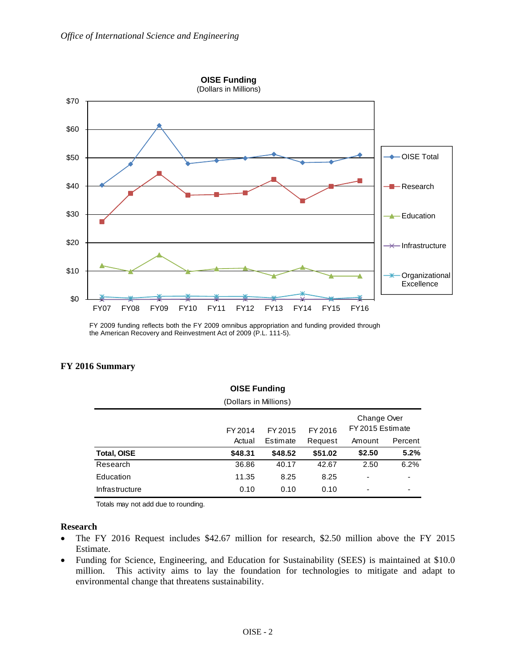

FY 2009 funding reflects both the FY 2009 omnibus appropriation and funding provided through the American Recovery and Reinvestment Act of 2009 (P.L. 111-5).

| <b>OISE Funding</b><br>(Dollars in Millions) |         |          |         |        |         |  |
|----------------------------------------------|---------|----------|---------|--------|---------|--|
|                                              |         |          |         |        |         |  |
|                                              | Actual  | Estimate | Request | Amount | Percent |  |
| <b>Total, OISE</b>                           | \$48.31 | \$48.52  | \$51.02 | \$2.50 | 5.2%    |  |
| Research                                     | 36.86   | 40.17    | 42.67   | 2.50   | 6.2%    |  |
| Education                                    | 11.35   | 8.25     | 8.25    | -      | -       |  |
| Infrastructure                               | 0.10    | 0.10     | 0.10    | -      | ۰       |  |

### FY 2016 Summary

Totals may not add due to rounding.

#### **Research**

- The FY 2016 Request includes \$42.67 million for research, \$2.50 million above the FY 2015  $\bullet$ Estimate.
- Funding for Science, Engineering, and Education for Sustainability (SEES) is maintained at \$10.0  $\bullet$ This activity aims to lay the foundation for technologies to mitigate and adapt to million. environmental change that threatens sustainability.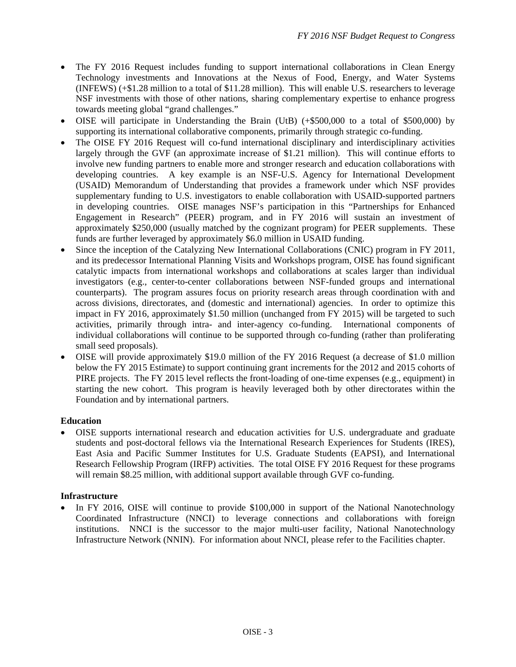- The FY 2016 Request includes funding to support international collaborations in Clean Energy Technology investments and Innovations at the Nexus of Food, Energy, and Water Systems (INFEWS) (+\$1.28 million to a total of \$11.28 million). This will enable U.S. researchers to leverage NSF investments with those of other nations, sharing complementary expertise to enhance progress towards meeting global "grand challenges."
- OISE will participate in Understanding the Brain (UtB) (+\$500,000 to a total of \$500,000) by supporting its international collaborative components, primarily through strategic co-funding.
- The OISE FY 2016 Request will co-fund international disciplinary and interdisciplinary activities largely through the GVF (an approximate increase of \$1.21 million). This will continue efforts to involve new funding partners to enable more and stronger research and education collaborations with developing countries. A key example is an NSF-U.S. Agency for International Development (USAID) Memorandum of Understanding that provides a framework under which NSF provides supplementary funding to U.S. investigators to enable collaboration with USAID-supported partners in developing countries. OISE manages NSF's participation in this "Partnerships for Enhanced Engagement in Research" (PEER) program, and in FY 2016 will sustain an investment of approximately \$250,000 (usually matched by the cognizant program) for PEER supplements. These funds are further leveraged by approximately \$6.0 million in USAID funding.
- Since the inception of the Catalyzing New International Collaborations (CNIC) program in FY 2011, and its predecessor International Planning Visits and Workshops program, OISE has found significant catalytic impacts from international workshops and collaborations at scales larger than individual investigators (e.g., center-to-center collaborations between NSF-funded groups and international counterparts). The program assures focus on priority research areas through coordination with and across divisions, directorates, and (domestic and international) agencies. In order to optimize this impact in FY 2016, approximately \$1.50 million (unchanged from FY 2015) will be targeted to such activities, primarily through intra- and inter-agency co-funding. International components of individual collaborations will continue to be supported through co-funding (rather than proliferating small seed proposals).
- OISE will provide approximately \$19.0 million of the FY 2016 Request (a decrease of \$1.0 million below the FY 2015 Estimate) to support continuing grant increments for the 2012 and 2015 cohorts of PIRE projects. The FY 2015 level reflects the front-loading of one-time expenses (e.g., equipment) in starting the new cohort. This program is heavily leveraged both by other directorates within the Foundation and by international partners.

### **Education**

 OISE supports international research and education activities for U.S. undergraduate and graduate students and post-doctoral fellows via the International Research Experiences for Students (IRES), East Asia and Pacific Summer Institutes for U.S. Graduate Students (EAPSI), and International Research Fellowship Program (IRFP) activities. The total OISE FY 2016 Request for these programs will remain \$8.25 million, with additional support available through GVF co-funding.

### **Infrastructure**

 In FY 2016, OISE will continue to provide \$100,000 in support of the National Nanotechnology Coordinated Infrastructure (NNCI) to leverage connections and collaborations with foreign institutions. NNCI is the successor to the major multi-user facility, National Nanotechnology Infrastructure Network (NNIN). For information about NNCI, please refer to the Facilities chapter.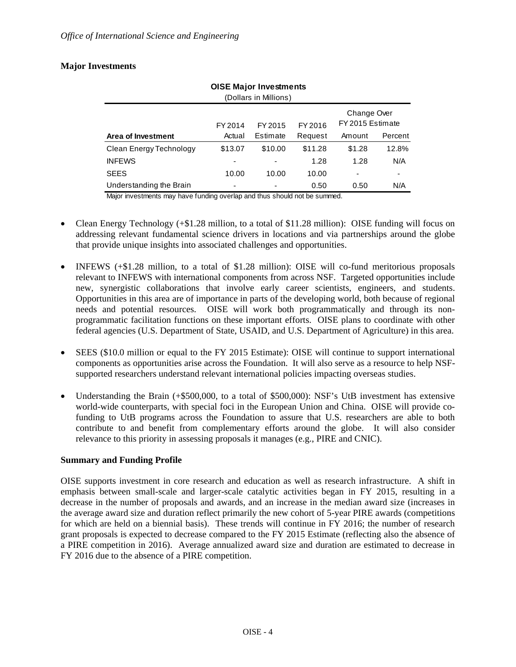## **Major Investments**

| <b>OISE Major Investments</b><br>(Dollars in Millions) |         |          |         |                                 |         |  |  |
|--------------------------------------------------------|---------|----------|---------|---------------------------------|---------|--|--|
|                                                        | FY 2014 | FY 2015  | FY 2016 | Change Over<br>FY 2015 Estimate |         |  |  |
| Area of Investment                                     | Actual  | Estimate | Request | Amount                          | Percent |  |  |
| Clean Energy Technology                                | \$13.07 | \$10.00  | \$11.28 | \$1.28                          | 12.8%   |  |  |
| <b>INFEWS</b>                                          |         |          | 1.28    | 1.28                            | N/A     |  |  |
| <b>SEES</b>                                            | 10.00   | 10.00    | 10.00   | -                               |         |  |  |
| Understanding the Brain                                |         |          | 0.50    | 0.50                            | N/A     |  |  |

Major investments may have funding overlap and thus should not be summed.

- Clean Energy Technology (+\$1.28 million, to a total of \$11.28 million): OISE funding will focus on addressing relevant fundamental science drivers in locations and via partnerships around the globe that provide unique insights into associated challenges and opportunities.
- new, synergistic collaborations that involve early career scientists, engineers, and students. INFEWS (+\$1.28 million, to a total of \$1.28 million): OISE will co-fund meritorious proposals relevant to INFEWS with international components from across NSF. Targeted opportunities include Opportunities in this area are of importance in parts of the developing world, both because of regional needs and potential resources. OISE will work both programmatically and through its nonprogrammatic facilitation functions on these important efforts. OISE plans to coordinate with other federal agencies (U.S. Department of State, USAID, and U.S. Department of Agriculture) in this area.
- SEES (\$10.0 million or equal to the FY 2015 Estimate): OISE will continue to support international components as opportunities arise across the Foundation. It will also serve as a resource to help NSFsupported researchers understand relevant international policies impacting overseas studies.
- Understanding the Brain (+\$500,000, to a total of \$500,000): NSF's UtB investment has extensive world-wide counterparts, with special foci in the European Union and China. OISE will provide cofunding to UtB programs across the Foundation to assure that U.S. researchers are able to both contribute to and benefit from complementary efforts around the globe. It will also consider relevance to this priority in assessing proposals it manages (e.g., PIRE and CNIC).

# **Summary and Funding Profile**

OISE supports investment in core research and education as well as research infrastructure. A shift in emphasis between small-scale and larger-scale catalytic activities began in FY 2015, resulting in a decrease in the number of proposals and awards, and an increase in the median award size (increases in the average award size and duration reflect primarily the new cohort of 5-year PIRE awards (competitions for which are held on a biennial basis). These trends will continue in FY 2016; the number of research grant proposals is expected to decrease compared to the FY 2015 Estimate (reflecting also the absence of a PIRE competition in 2016). Average annualized award size and duration are estimated to decrease in FY 2016 due to the absence of a PIRE competition.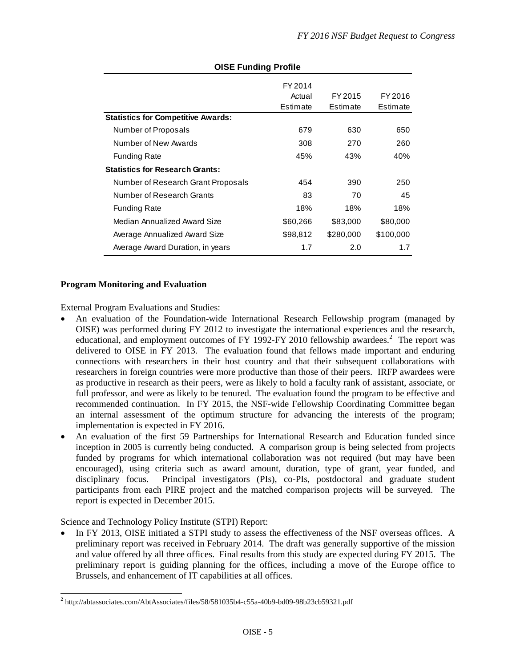| OISE Funding Profile                      |          |           |           |  |  |
|-------------------------------------------|----------|-----------|-----------|--|--|
|                                           | FY 2014  |           |           |  |  |
|                                           | Actual   | FY 2015   | FY 2016   |  |  |
|                                           | Estimate | Estimate  | Estimate  |  |  |
| <b>Statistics for Competitive Awards:</b> |          |           |           |  |  |
| Number of Proposals                       | 679      | 630       | 650       |  |  |
| Number of New Awards                      | 308      | 270       | 260       |  |  |
| <b>Funding Rate</b>                       | 45%      | 43%       | 40%       |  |  |
| <b>Statistics for Research Grants:</b>    |          |           |           |  |  |
| Number of Research Grant Proposals        | 454      | 390       | 250       |  |  |
| Number of Research Grants                 | 83       | 70        | 45        |  |  |
| <b>Funding Rate</b>                       | 18%      | 18%       | 18%       |  |  |
| Median Annualized Award Size              | \$60,266 | \$83,000  | \$80,000  |  |  |
| Average Annualized Award Size             | \$98,812 | \$280,000 | \$100,000 |  |  |
| Average Award Duration, in years          | 1.7      | 2.0       | 1.7       |  |  |

# **OISE Funding Profile**

#### **Program Monitoring and Evaluation**

External Program Evaluations and Studies:

- An evaluation of the Foundation-wide International Research Fellowship program (managed by OISE) was performed during FY 2012 to investigate the international experiences and the research, educational, and employment outcomes of FY 1992-FY 2010 fellowship awardees.<sup>2</sup> The report was delivered to OISE in FY 2013. The evaluation found that fellows made important and enduring connections with researchers in their host country and that their subsequent collaborations with researchers in foreign countries were more productive than those of their peers. IRFP awardees were as productive in research as their peers, were as likely to hold a faculty rank of assistant, associate, or full professor, and were as likely to be tenured. The evaluation found the program to be effective and recommended continuation. In FY 2015, the NSF-wide Fellowship Coordinating Committee began an internal assessment of the optimum structure for advancing the interests of the program; implementation is expected in FY 2016.
- An evaluation of the first 59 Partnerships for International Research and Education funded since inception in 2005 is currently being conducted. A comparison group is being selected from projects funded by programs for which international collaboration was not required (but may have been encouraged), using criteria such as award amount, duration, type of grant, year funded, and disciplinary focus. Principal investigators (PIs), co-PIs, postdoctoral and graduate student participants from each PIRE project and the matched comparison projects will be surveyed. The report is expected in December 2015.

Science and Technology Policy Institute (STPI) Report:

 In FY 2013, OISE initiated a STPI study to assess the effectiveness of the NSF overseas offices. A preliminary report was received in February 2014. The draft was generally supportive of the mission and value offered by all three offices. Final results from this study are expected during FY 2015. The preliminary report is guiding planning for the offices, including a move of the Europe office to Brussels, and enhancement of IT capabilities at all offices.

  $^2$  http://abtassociates.com/AbtAssociates/files/58/581035b4-c55a-40b9-bd09-98b23cb59321.pdf<br>OISE - 5